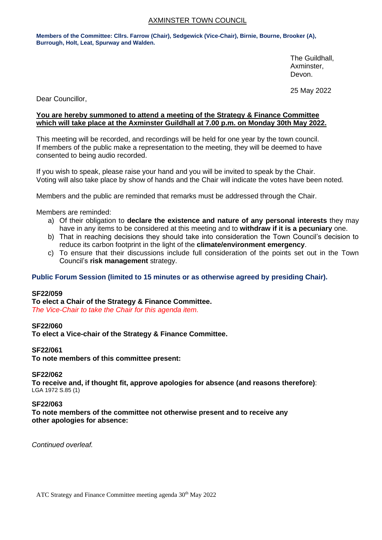# AXMINSTER TOWN COUNCIL

**Members of the Committee: Cllrs. Farrow (Chair), Sedgewick (Vice-Chair), Birnie, Bourne, Brooker (A), Burrough, Holt, Leat, Spurway and Walden.**

> The Guildhall, Axminster, Devon.

25 May 2022

Dear Councillor,

# **You are hereby summoned to attend a meeting of the Strategy & Finance Committee which will take place at the Axminster Guildhall at 7.00 p.m. on Monday 30th May 2022.**

This meeting will be recorded, and recordings will be held for one year by the town council. If members of the public make a representation to the meeting, they will be deemed to have consented to being audio recorded.

If you wish to speak, please raise your hand and you will be invited to speak by the Chair. Voting will also take place by show of hands and the Chair will indicate the votes have been noted.

Members and the public are reminded that remarks must be addressed through the Chair.

Members are reminded:

- a) Of their obligation to **declare the existence and nature of any personal interests** they may have in any items to be considered at this meeting and to **withdraw if it is a pecuniary** one.
- b) That in reaching decisions they should take into consideration the Town Council's decision to reduce its carbon footprint in the light of the **climate/environment emergency**.
- c) To ensure that their discussions include full consideration of the points set out in the Town Council's **risk management** strategy.

# **Public Forum Session (limited to 15 minutes or as otherwise agreed by presiding Chair).**

# **SF22/059**

**To elect a Chair of the Strategy & Finance Committee.** *The Vice-Chair to take the Chair for this agenda item.*

#### **SF22/060**

**To elect a Vice-chair of the Strategy & Finance Committee.**

#### **SF22/061**

**To note members of this committee present:**

#### **SF22/062**

**To receive and, if thought fit, approve apologies for absence (and reasons therefore)**: LGA 1972 S.85 (1)

#### **SF22/063**

**To note members of the committee not otherwise present and to receive any other apologies for absence:**

*Continued overleaf.*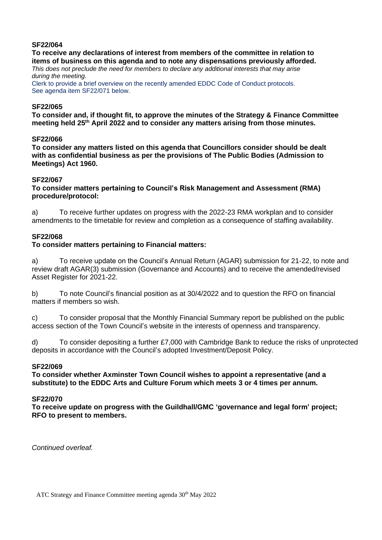# **SF22/064**

# **To receive any declarations of interest from members of the committee in relation to items of business on this agenda and to note any dispensations previously afforded.**

*This does not preclude the need for members to declare any additional interests that may arise during the meeting.*

Clerk to provide a brief overview on the recently amended EDDC Code of Conduct protocols. See agenda item SF22/071 below.

### **SF22/065**

**To consider and, if thought fit, to approve the minutes of the Strategy & Finance Committee meeting held 25 th April 2022 and to consider any matters arising from those minutes.**

### **SF22/066**

**To consider any matters listed on this agenda that Councillors consider should be dealt with as confidential business as per the provisions of The Public Bodies (Admission to Meetings) Act 1960.**

### **SF22/067**

### **To consider matters pertaining to Council's Risk Management and Assessment (RMA) procedure/protocol:**

a) To receive further updates on progress with the 2022-23 RMA workplan and to consider amendments to the timetable for review and completion as a consequence of staffing availability.

# **SF22/068**

# **To consider matters pertaining to Financial matters:**

a) To receive update on the Council's Annual Return (AGAR) submission for 21-22, to note and review draft AGAR(3) submission (Governance and Accounts) and to receive the amended/revised Asset Register for 2021-22.

b) To note Council's financial position as at 30/4/2022 and to question the RFO on financial matters if members so wish.

c) To consider proposal that the Monthly Financial Summary report be published on the public access section of the Town Council's website in the interests of openness and transparency.

d) To consider depositing a further £7,000 with Cambridge Bank to reduce the risks of unprotected deposits in accordance with the Council's adopted Investment/Deposit Policy.

#### **SF22/069**

**To consider whether Axminster Town Council wishes to appoint a representative (and a substitute) to the EDDC Arts and Culture Forum which meets 3 or 4 times per annum.**

#### **SF22/070**

**To receive update on progress with the Guildhall/GMC 'governance and legal form' project; RFO to present to members.**

*Continued overleaf.*